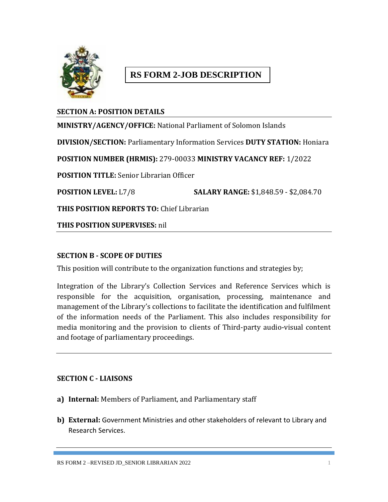

# **RS FORM 2-JOB DESCRIPTION**

## **SECTION A: POSITION DETAILS**

**MINISTRY/AGENCY/OFFICE:** National Parliament of Solomon Islands **DIVISION/SECTION:** Parliamentary Information Services **DUTY STATION:** Honiara **POSITION NUMBER (HRMIS):** 279-00033 **MINISTRY VACANCY REF:** 1/2022 **POSITION TITLE:** Senior Librarian Officer **POSITION LEVEL:** L7/8 **SALARY RANGE:** \$1,848.59 - \$2,084.70 **THIS POSITION REPORTS TO:** Chief Librarian

**THIS POSITION SUPERVISES:** nil

#### **SECTION B - SCOPE OF DUTIES**

This position will contribute to the organization functions and strategies by;

Integration of the Library's Collection Services and Reference Services which is responsible for the acquisition, organisation, processing, maintenance and management of the Library's collections to facilitate the identification and fulfilment of the information needs of the Parliament. This also includes responsibility for media monitoring and the provision to clients of Third-party audio-visual content and footage of parliamentary proceedings.

#### **SECTION C - LIAISONS**

- **a) Internal:** Members of Parliament, and Parliamentary staff
- **b) External:** Government Ministries and other stakeholders of relevant to Library and Research Services.

RS FORM 2 –REVISED JD\_SENIOR LIBRARIAN 2022 1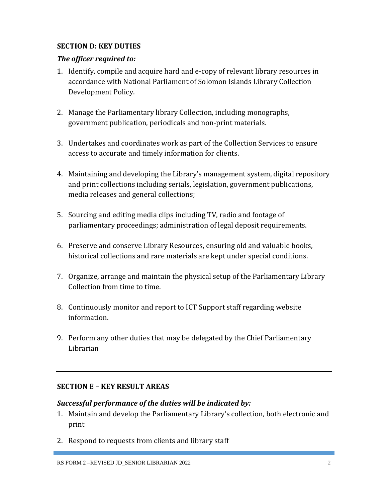## **SECTION D: KEY DUTIES**

## *The officer required to:*

- 1. Identify, compile and acquire hard and e-copy of relevant library resources in accordance with National Parliament of Solomon Islands Library Collection Development Policy.
- 2. Manage the Parliamentary library Collection, including monographs, government publication, periodicals and non-print materials.
- 3. Undertakes and coordinates work as part of the Collection Services to ensure access to accurate and timely information for clients.
- 4. Maintaining and developing the Library's management system, digital repository and print collections including serials, legislation, government publications, media releases and general collections;
- 5. Sourcing and editing media clips including TV, radio and footage of parliamentary proceedings; administration of legal deposit requirements.
- 6. Preserve and conserve Library Resources, ensuring old and valuable books, historical collections and rare materials are kept under special conditions.
- 7. Organize, arrange and maintain the physical setup of the Parliamentary Library Collection from time to time.
- 8. Continuously monitor and report to ICT Support staff regarding website information.
- 9. Perform any other duties that may be delegated by the Chief Parliamentary Librarian

## **SECTION E – KEY RESULT AREAS**

#### *Successful performance of the duties will be indicated by:*

- 1. Maintain and develop the Parliamentary Library's collection, both electronic and print
- 2. Respond to requests from clients and library staff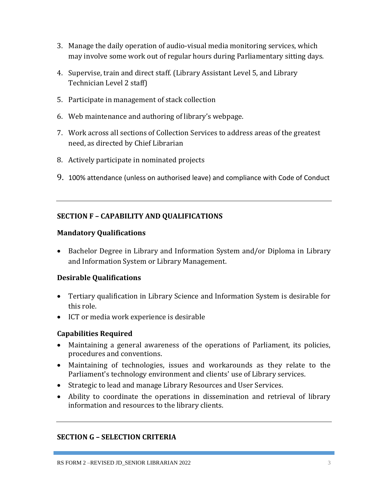- 3. Manage the daily operation of audio-visual media monitoring services, which may involve some work out of regular hours during Parliamentary sitting days.
- 4. Supervise, train and direct staff. (Library Assistant Level 5, and Library Technician Level 2 staff)
- 5. Participate in management of stack collection
- 6. Web maintenance and authoring of library's webpage.
- 7. Work across all sections of Collection Services to address areas of the greatest need, as directed by Chief Librarian
- 8. Actively participate in nominated projects
- 9. 100% attendance (unless on authorised leave) and compliance with Code of Conduct

## **SECTION F – CAPABILITY AND QUALIFICATIONS**

#### **Mandatory Qualifications**

• Bachelor Degree in Library and Information System and/or Diploma in Library and Information System or Library Management.

## **Desirable Qualifications**

- Tertiary qualification in Library Science and Information System is desirable for this role.
- ICT or media work experience is desirable

#### **Capabilities Required**

- Maintaining a general awareness of the operations of Parliament, its policies, procedures and conventions.
- Maintaining of technologies, issues and workarounds as they relate to the Parliament's technology environment and clients' use of Library services.
- Strategic to lead and manage Library Resources and User Services.
- Ability to coordinate the operations in dissemination and retrieval of library information and resources to the library clients.

## **SECTION G – SELECTION CRITERIA**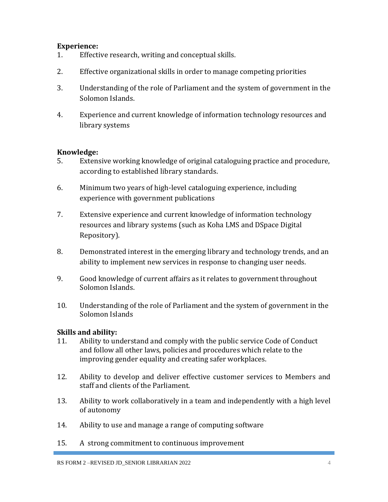#### **Experience:**

- 1. Effective research, writing and conceptual skills.
- 2. Effective organizational skills in order to manage competing priorities
- 3. Understanding of the role of Parliament and the system of government in the Solomon Islands.
- 4. Experience and current knowledge of information technology resources and library systems

#### **Knowledge:**

- 5. Extensive working knowledge of original cataloguing practice and procedure, according to established library standards.
- 6. Minimum two years of high-level cataloguing experience, including experience with government publications
- 7. Extensive experience and current knowledge of information technology resources and library systems (such as Koha LMS and DSpace Digital Repository).
- 8. Demonstrated interest in the emerging library and technology trends, and an ability to implement new services in response to changing user needs.
- 9. Good knowledge of current affairs as it relates to government throughout Solomon Islands.
- 10. Understanding of the role of Parliament and the system of government in the Solomon Islands

## **Skills and ability:**

- 11. Ability to understand and comply with the public service Code of Conduct and follow all other laws, policies and procedures which relate to the improving gender equality and creating safer workplaces.
- 12. Ability to develop and deliver effective customer services to Members and staff and clients of the Parliament.
- 13. Ability to work collaboratively in a team and independently with a high level of autonomy
- 14. Ability to use and manage a range of computing software
- 15. A strong commitment to continuous improvement